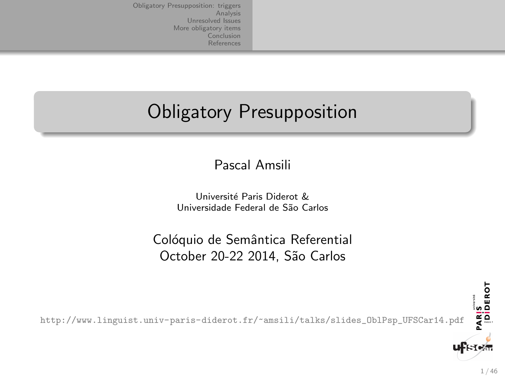## Obligatory Presupposition

Pascal Amsili

Université Paris Diderot & Universidade Federal de S˜ao Carlos

Colóquio de Semântica Referential October 20-22 2014, São Carlos

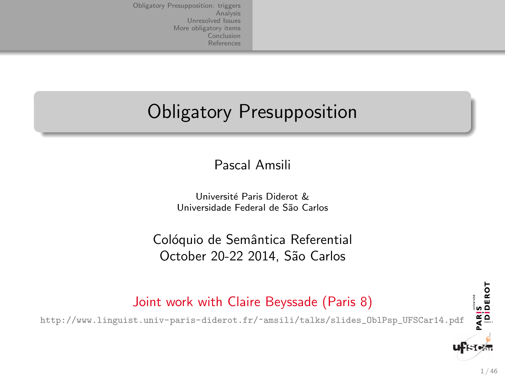# Obligatory Presupposition

Pascal Amsili

Université Paris Diderot & Universidade Federal de S˜ao Carlos

Colóquio de Semântica Referential October 20-22 2014, São Carlos



[http://www.linguist.univ-paris-diderot.fr/~amsili/talks/slides\\_OblPsp\\_UFSCar14.pdf](http://www.linguist.univ-paris-diderot.fr/~amsili/talks/slides_OblPsp_UFSCar14.pdf)

PARIS<br>|DIDEROT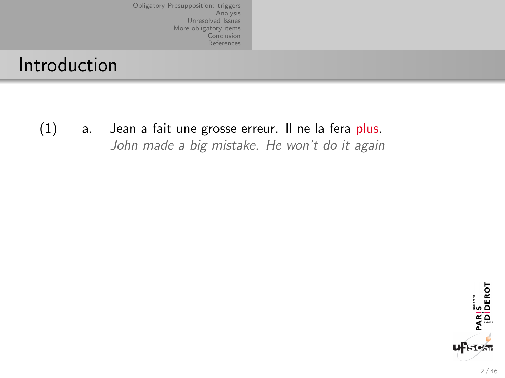#### Introduction

(1) a. Jean a fait une grosse erreur. Il ne la fera plus. John made a big mistake. He won't do it again

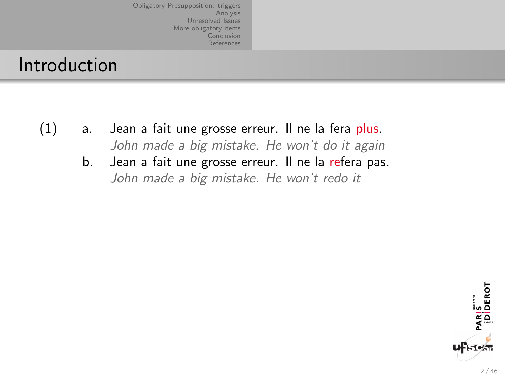#### Introduction

- (1) a. Jean a fait une grosse erreur. Il ne la fera plus. John made a big mistake. He won't do it again
	- b. Jean a fait une grosse erreur. Il ne la refera pas. John made a big mistake. He won't redo it

PARIS<br>|Diderot ∦кту⁄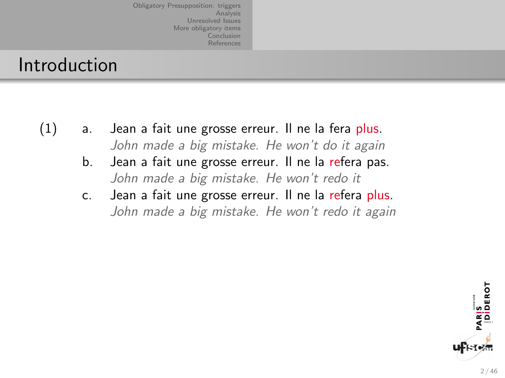#### Introduction

- (1) a. Jean a fait une grosse erreur. Il ne la fera plus. John made a big mistake. He won't do it again
	- b. Jean a fait une grosse erreur. Il ne la refera pas. John made a big mistake. He won't redo it
	- c. Jean a fait une grosse erreur. Il ne la refera plus. John made a big mistake. He won't redo it again

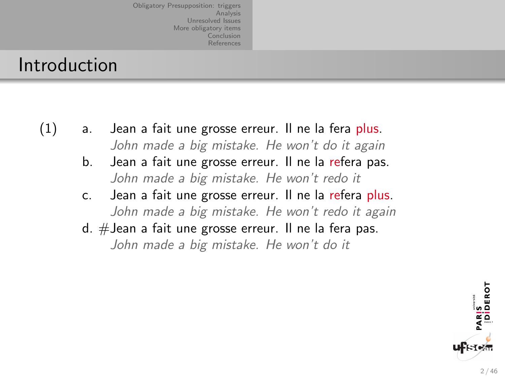#### Introduction

- (1) a. Jean a fait une grosse erreur. Il ne la fera plus. John made a big mistake. He won't do it again
	- b. Jean a fait une grosse erreur. Il ne la refera pas. John made a big mistake. He won't redo it
	- c. Jean a fait une grosse erreur. Il ne la refera plus. John made a big mistake. He won't redo it again
	- d. #Jean a fait une grosse erreur. Il ne la fera pas.

John made a big mistake. He won't do it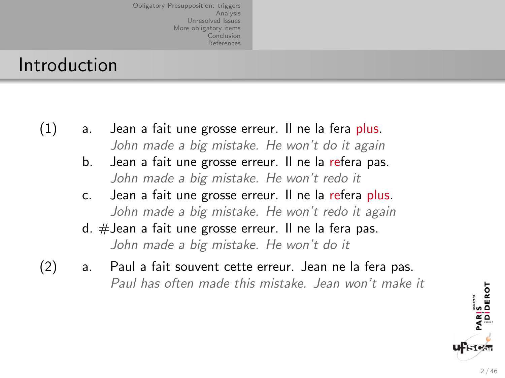#### Introduction

- (1) a. Jean a fait une grosse erreur. Il ne la fera plus. John made a big mistake. He won't do it again
	- b. Jean a fait une grosse erreur. Il ne la refera pas. John made a big mistake. He won't redo it
	- c. Jean a fait une grosse erreur. Il ne la refera plus. John made a big mistake. He won't redo it again
	- d. #Jean a fait une grosse erreur. Il ne la fera pas. John made a big mistake. He won't do it
- (2) a. Paul a fait souvent cette erreur. Jean ne la fera pas. Paul has often made this mistake. Jean won't make it

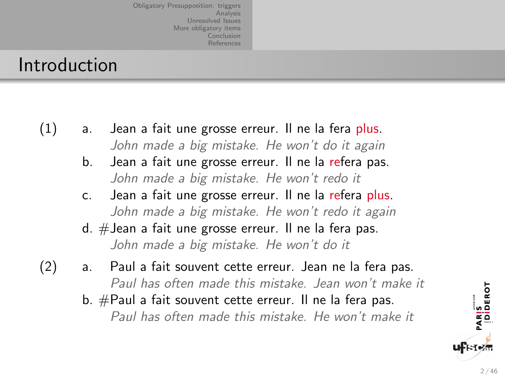#### Introduction

- (1) a. Jean a fait une grosse erreur. Il ne la fera plus. John made a big mistake. He won't do it again
	- b. Jean a fait une grosse erreur. Il ne la refera pas. John made a big mistake. He won't redo it
	- c. Jean a fait une grosse erreur. Il ne la refera plus. John made a big mistake. He won't redo it again
	- d. #Jean a fait une grosse erreur. Il ne la fera pas. John made a big mistake. He won't do it
- (2) a. Paul a fait souvent cette erreur. Jean ne la fera pas. Paul has often made this mistake. Jean won't make it
	- b. #Paul a fait souvent cette erreur. Il ne la fera pas.

Paul has often made this mistake. He won't make it

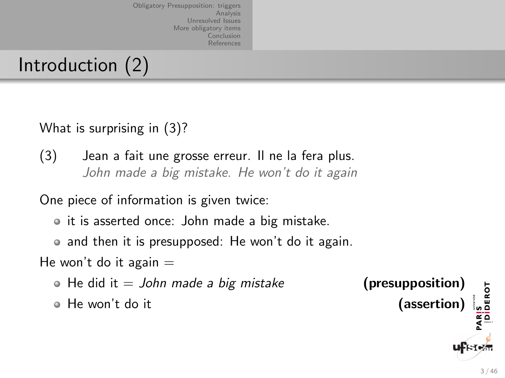## Introduction (2)

What is surprising in (3)?

(3) Jean a fait une grosse erreur. Il ne la fera plus. John made a big mistake. He won't do it again

One piece of information is given twice:

• it is asserted once: John made a big mistake.

• and then it is presupposed: He won't do it again.

He won't do it again  $=$ 

• He did it  $=$  John made a big mistake (presupposition)

• He won't do it (assertion)

PARIS<br>|DIDEROT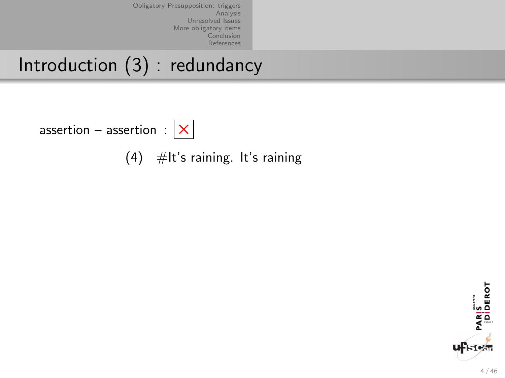Introduction (3) : redundancy

assertion – assertion :  $|\mathsf{x}|$ 

(4)  $\#$ It's raining. It's raining

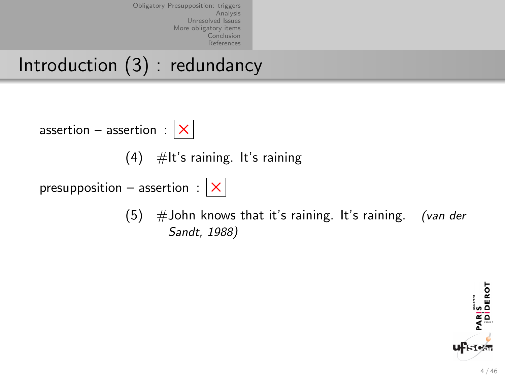Introduction (3) : redundancy

assertion – assertion :  $|\mathsf{x}|$ 

 $(4)$  #It's raining. It's raining

presupposition – assertion :  $|\times|$ 



 $(5)$  #John knows that it's raining. It's raining. (van der Sandt, 1988)

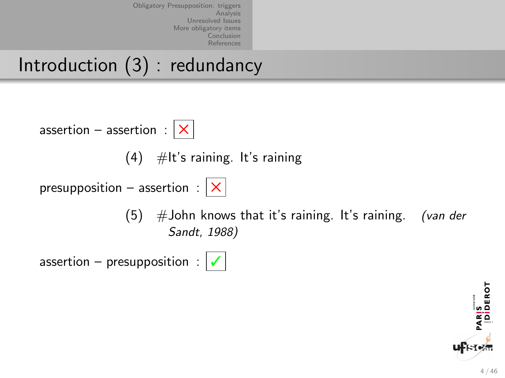Introduction (3) : redundancy



 $(4)$  #It's raining. It's raining

presupposition – assertion :  $|\times|$ 



 $(5)$  #John knows that it's raining. It's raining. (van der Sandt, 1988)



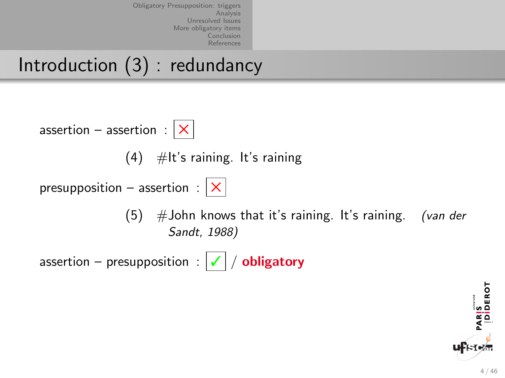Introduction (3) : redundancy



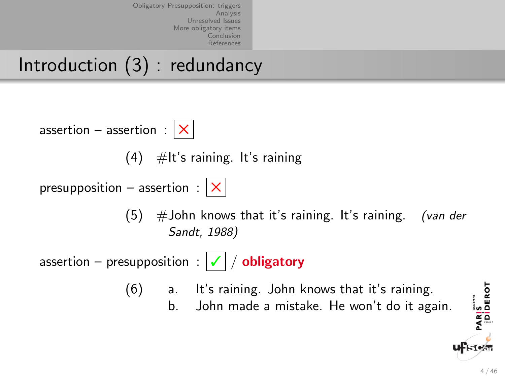Introduction (3) : redundancy

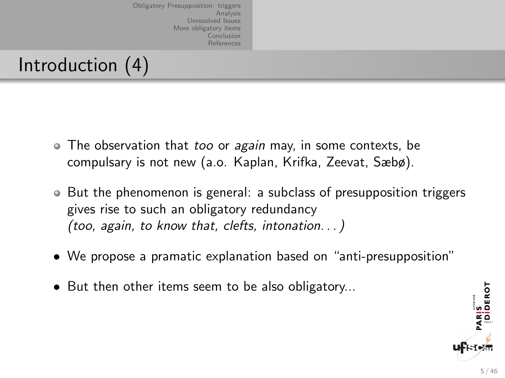## Introduction (4)

- The observation that too or again may, in some contexts, be compulsary is not new (a.o. Kaplan, Krifka, Zeevat, Sæbø).
- But the phenomenon is general: a subclass of presupposition triggers gives rise to such an obligatory redundancy (too, again, to know that, clefts, intonation. . . )
- We propose a pramatic explanation based on "anti-presupposition"
- But then other items seem to be also obligatory...

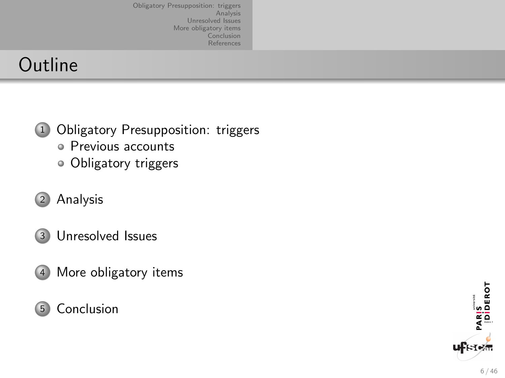## **Outline**

- <sup>1</sup> [Obligatory Presupposition: triggers](#page-16-0)
	- [Previous accounts](#page-17-0)
	- [Obligatory triggers](#page-30-0)
- <sup>2</sup> [Analysis](#page-40-0)
- <sup>3</sup> [Unresolved Issues](#page-45-0)
- <sup>4</sup> [More obligatory items](#page-51-0)

#### <sup>5</sup> [Conclusion](#page-57-0)

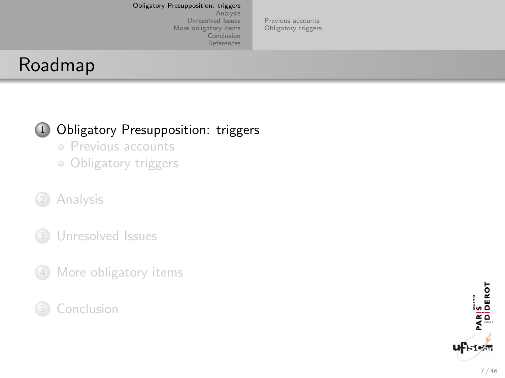[Previous accounts](#page-17-0) [Obligatory triggers](#page-30-0)

## <span id="page-16-0"></span>Roadmap

#### 1 [Obligatory Presupposition: triggers](#page-16-0)

- [Previous accounts](#page-17-0)
- [Obligatory triggers](#page-30-0)
- <sup>2</sup> [Analysis](#page-40-0)
- <sup>3</sup> [Unresolved Issues](#page-45-0)
- <sup>4</sup> [More obligatory items](#page-51-0)
- **[Conclusion](#page-57-0)**

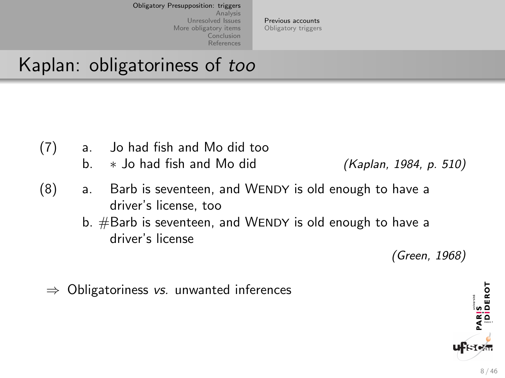[Previous accounts](#page-17-0) [Obligatory triggers](#page-30-0)

## <span id="page-17-0"></span>Kaplan: obligatoriness of too

- (7) a. Jo had fish and Mo did too
	- b.  $\ast$  Jo had fish and Mo did (Kaplan, 1984, p. 510)

- (8) a. Barb is seventeen, and WENDY is old enough to have a driver's license, too
	- b.  $#$ Barb is seventeen, and WENDY is old enough to have a driver's license

(Green, 1968)

 $\Rightarrow$  Obligatoriness vs. unwanted inferences

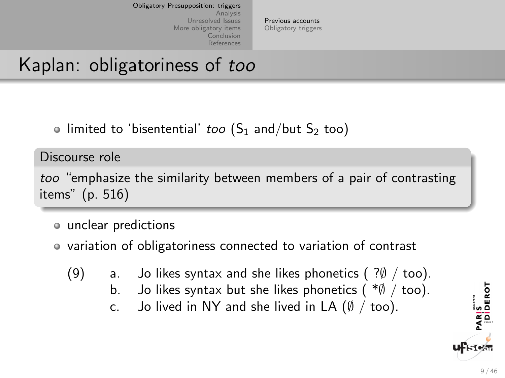[Previous accounts](#page-17-0) [Obligatory triggers](#page-30-0)

## Kaplan: obligatoriness of too

• limited to 'bisentential' *too*  $(S_1 \text{ and/but } S_2 \text{ too})$ 

Discourse role

too "emphasize the similarity between members of a pair of contrasting items" (p. 516)

- unclear predictions
- variation of obligatoriness connected to variation of contrast
	- (9) a. Jo likes syntax and she likes phonetics  $( ? \emptyset /$  too).
		- b. Jo likes syntax but she likes phonetics  $(*\emptyset /$  too).
		- c. Jo lived in NY and she lived in LA  $(\emptyset / \text{too})$ .

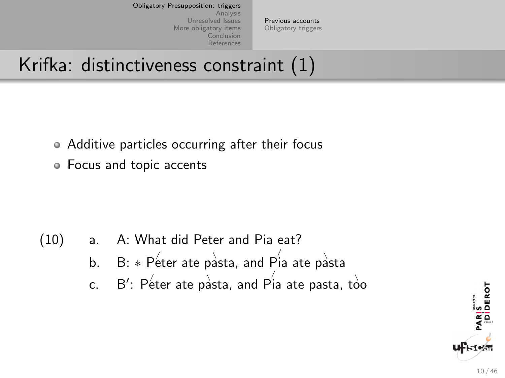[Previous accounts](#page-17-0) [Obligatory triggers](#page-30-0)

## Krifka: distinctiveness constraint (1)

- Additive particles occurring after their focus
- Focus and topic accents

- (10) a. A: What did Peter and Pia eat?
	- b. B:  $\ast$  Peter ate pasta, and Pia ate pasta
	- c.  $\;\;$  B': Peter ate pasta, and Pia ate pasta, too

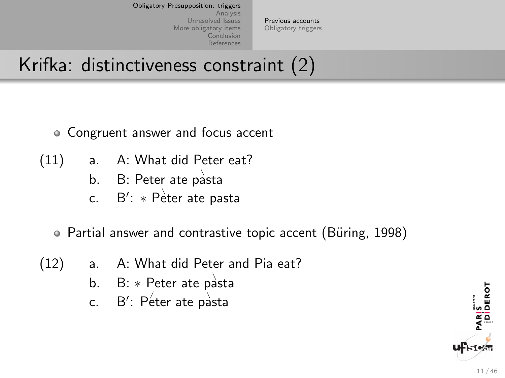[Previous accounts](#page-17-0) [Obligatory triggers](#page-30-0)

## Krifka: distinctiveness constraint (2)

- Congruent answer and focus accent
- (11) a. A: What did Peter eat?
	- b.  $\quad$  B: Peter ate pasta
	- c.  $B'$ :  $\ast$  Peter ate pasta

• Partial answer and contrastive topic accent (Büring, 1998)

- (12) a. A: What did Peter and Pia eat?
	- b.  $B: *$  Peter ate pasta
	- c.  $B'$ : Peter ate pasta

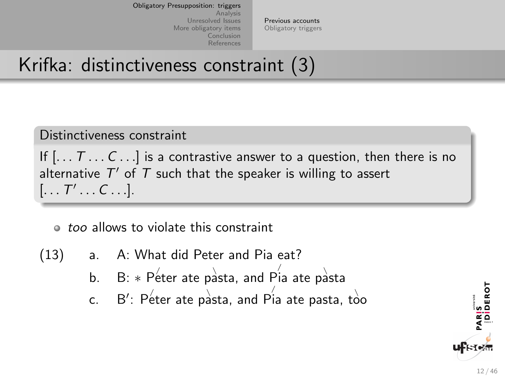[Previous accounts](#page-17-0) [Obligatory triggers](#page-30-0)

## Krifka: distinctiveness constraint (3)

#### Distinctiveness constraint

If  $[... 7 ... C ...]$  is a contrastive answer to a question, then there is no alternative  $T'$  of  $T$  such that the speaker is willing to assert  $[\ldots T' \ldots C \ldots]$ .

#### $\bullet$  too allows to violate this constraint

- (13) a. A: What did Peter and Pia eat?
	- b. B:  $\ast$  Peter ate pasta, and Pia ate pasta
	- c.  $\;\;$  B': Péter ate pàsta, and Pia ate pasta, tòo

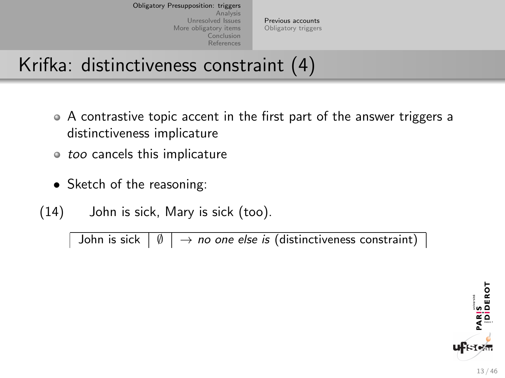[Previous accounts](#page-17-0) [Obligatory triggers](#page-30-0)

## Krifka: distinctiveness constraint (4)

- A contrastive topic accent in the first part of the answer triggers a distinctiveness implicature
- $\circ$  too cancels this implicature
- Sketch of the reasoning:
- (14) John is sick, Mary is sick (too).

John is sick  $|\emptyset| \rightarrow$  no one else is (distinctiveness constraint) |

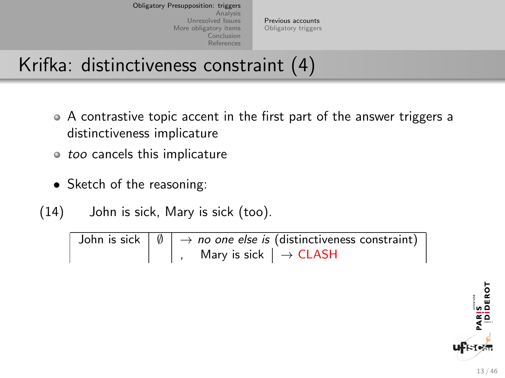[Previous accounts](#page-17-0) [Obligatory triggers](#page-30-0)

## Krifka: distinctiveness constraint (4)

- A contrastive topic accent in the first part of the answer triggers a distinctiveness implicature
- $\circ$  too cancels this implicature
- Sketch of the reasoning:

(14) John is sick, Mary is sick (too).

John is sick  $\vert \emptyset \vert \rightarrow$  no one else is (distinctiveness constraint) Mary is sick  $| \rightarrow$  CLASH

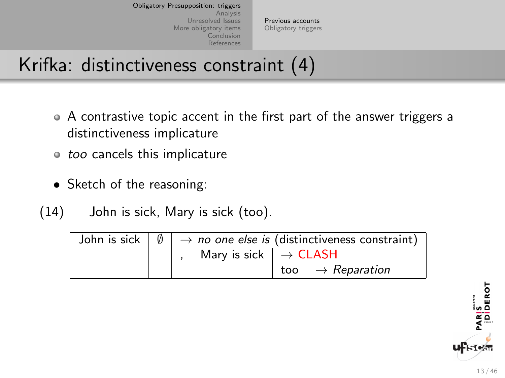[Previous accounts](#page-17-0) [Obligatory triggers](#page-30-0)

## Krifka: distinctiveness constraint (4)

- A contrastive topic accent in the first part of the answer triggers a distinctiveness implicature
- $\circ$  too cancels this implicature
- Sketch of the reasoning:
- (14) John is sick, Mary is sick (too).

|  |                                                        | John is sick $ \emptyset  \rightarrow$ no one else is (distinctiveness constraint) |  |
|--|--------------------------------------------------------|------------------------------------------------------------------------------------|--|
|  | Mary is sick $\vert \rightarrow \textsf{CLASSH} \vert$ |                                                                                    |  |
|  |                                                        | too $  \rightarrow$ Reparation                                                     |  |

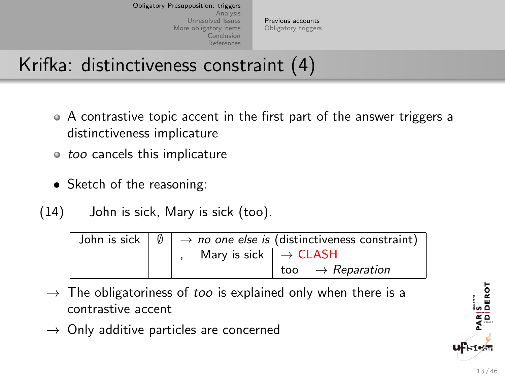[Previous accounts](#page-17-0) [Obligatory triggers](#page-30-0)

## Krifka: distinctiveness constraint (4)

- A contrastive topic accent in the first part of the answer triggers a distinctiveness implicature
- $\circ$  too cancels this implicature
- Sketch of the reasoning:

(14) John is sick, Mary is sick (too).

|  |                                                | John is sick $ \emptyset  \rightarrow$ no one else is (distinctiveness constraint) |  |
|--|------------------------------------------------|------------------------------------------------------------------------------------|--|
|  | Mary is sick $  \rightarrow \textsf{CLASSH}  $ |                                                                                    |  |
|  |                                                | too $\vert \rightarrow$ Reparation                                                 |  |

- $\rightarrow$  The obligatoriness of too is explained only when there is a contrastive accent
- $\rightarrow$  Only additive particles are concerned



iosadi<br>Interiori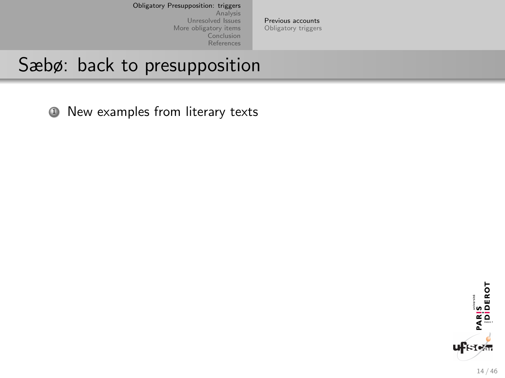[Previous accounts](#page-17-0) [Obligatory triggers](#page-30-0)

### Sæbø: back to presupposition

<sup>1</sup> New examples from literary texts

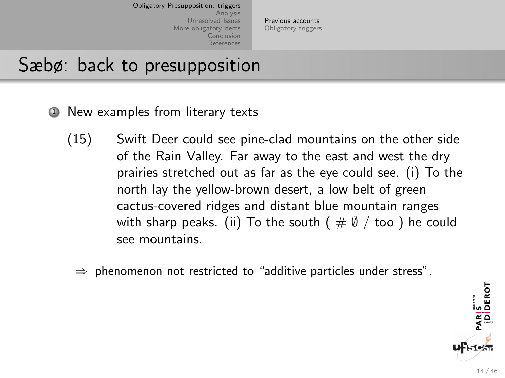[Previous accounts](#page-17-0) [Obligatory triggers](#page-30-0)

#### Sæbø: back to presupposition

- **1** New examples from literary texts
	- (15) Swift Deer could see pine-clad mountains on the other side of the Rain Valley. Far away to the east and west the dry prairies stretched out as far as the eye could see. (i) To the north lay the yellow-brown desert, a low belt of green cactus-covered ridges and distant blue mountain ranges with sharp peaks. (ii) To the south ( $\#\emptyset$  / too) he could see mountains.
		- $\Rightarrow$  phenomenon not restricted to "additive particles under stress".

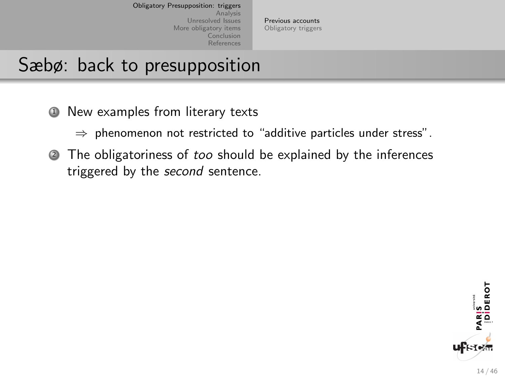[Previous accounts](#page-17-0) [Obligatory triggers](#page-30-0)

### Sæbø: back to presupposition

**1** New examples from literary texts

 $\Rightarrow$  phenomenon not restricted to "additive particles under stress".

<sup>2</sup> The obligatoriness of too should be explained by the inferences triggered by the second sentence.

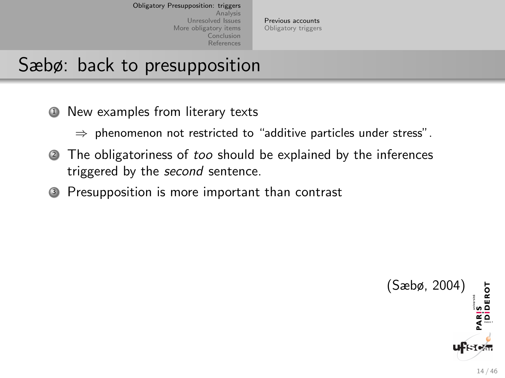[Previous accounts](#page-17-0) [Obligatory triggers](#page-30-0)

## Sæbø: back to presupposition

**1** New examples from literary texts

 $\Rightarrow$  phenomenon not restricted to "additive particles under stress".

- <sup>2</sup> The obligatoriness of too should be explained by the inferences triggered by the *second* sentence.
- <sup>3</sup> Presupposition is more important than contrast

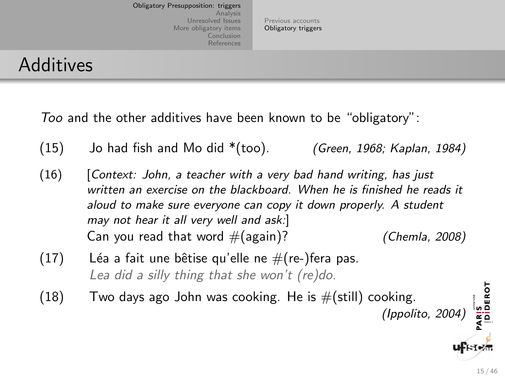[Previous accounts](#page-17-0) [Obligatory triggers](#page-30-0)

#### <span id="page-30-0"></span>Additives

Too and the other additives have been known to be "obligatory":

- $(15)$  Jo had fish and Mo did  $*(\text{too})$ . (Green, 1968; Kaplan, 1984)
- $(16)$  [Context: John, a teacher with a very bad hand writing, has just written an exercise on the blackboard. When he is finished he reads it aloud to make sure everyone can copy it down properly. A student may not hear it all very well and ask:] Can you read that word  $#(again)$ ? (Chemla, 2008)
- (17) Léa a fait une bêtise qu'elle ne  $\#$ (re-)fera pas. Lea did a silly thing that she won't (re)do.
- $(18)$  Two days ago John was cooking. He is  $\#(\text{still})$  cooking. (Ippolito, 2004)

PARIS<br>|Diderot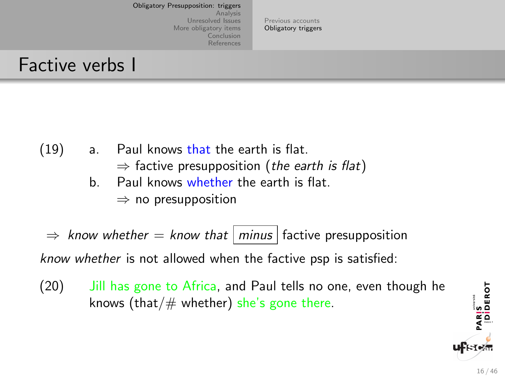[Previous accounts](#page-17-0) [Obligatory triggers](#page-30-0)

#### Factive verbs I

- $(19)$  a. Paul knows that the earth is flat.
	- $\Rightarrow$  factive presupposition (the earth is flat)
	- b. Paul knows whether the earth is flat.  $\Rightarrow$  no presupposition
- $\Rightarrow$  know whether  $=$  know that minus factive presupposition know whether is not allowed when the factive psp is satisfied:
- (20) Jill has gone to Africa, and Paul tells no one, even though he knows (that/ $#$  whether) she's gone there.

PARIS<br>|Diderot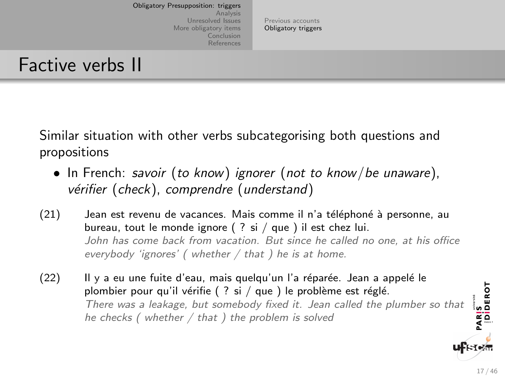[Previous accounts](#page-17-0) [Obligatory triggers](#page-30-0)

#### Factive verbs II

Similar situation with other verbs subcategorising both questions and propositions

- In French: savoir (to know) ignorer (not to know/be unaware), vérifier (check), comprendre (understand)
- (21) Jean est revenu de vacances. Mais comme il n'a téléphoné à personne, au bureau, tout le monde ignore ( ? si / que ) il est chez lui. John has come back from vacation. But since he called no one, at his office everybody 'ignores' (whether  $/$  that ) he is at home.
- $(22)$  Il y a eu une fuite d'eau, mais quelqu'un l'a réparée. Jean a appelé le PARIS<br>|DIDEROT plombier pour qu'il vérifie ( ? si / que ) le problème est réglé. There was a leakage, but somebody fixed it. Jean called the plumber so that he checks (whether  $/$  that ) the problem is solved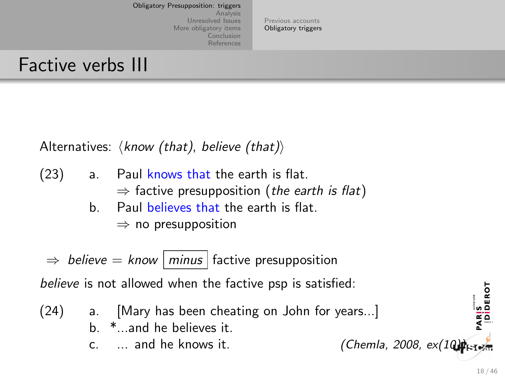[Previous accounts](#page-17-0) [Obligatory triggers](#page-30-0)

### Factive verbs III

Alternatives:  $\langle$  know (that), believe (that))

- (23) a. Paul knows that the earth is flat.  $\Rightarrow$  factive presupposition (the earth is flat)
	- b. Paul believes that the earth is flat.

 $\Rightarrow$  no presupposition

 $\Rightarrow$  believe = know | minus | factive presupposition

believe is not allowed when the factive psp is satisfied:

(24) a. [Mary has been cheating on John for years...] b. \*...and he believes it. c.  $\ldots$  and he knows it. (Chemla, 2008, ex(10) $\phi_{s=1}$ 

PARIS<br>|Diderot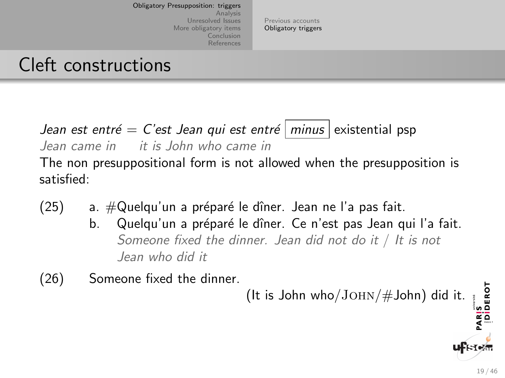[Previous accounts](#page-17-0) [Obligatory triggers](#page-30-0)

### Cleft constructions

Jean est entré = C'est Jean qui est entré  $\vert$  minus  $\vert$  existential psp Jean came in it is John who came in The non presuppositional form is not allowed when the presupposition is satisfied:

- $(25)$  a.  $\#\mathsf{Quelqu'un}$  a préparé le dîner. Jean ne l'a pas fait.
	- b. Quelqu'un a préparé le dîner. Ce n'est pas Jean qui l'a fait. Someone fixed the dinner. Jean did not do it / It is not Jean who did it
- (26) Someone fixed the dinner.

(It is John who/ $\text{JOHN}/\text{H}$ John) did it.

PARIS<br>|DIDEROT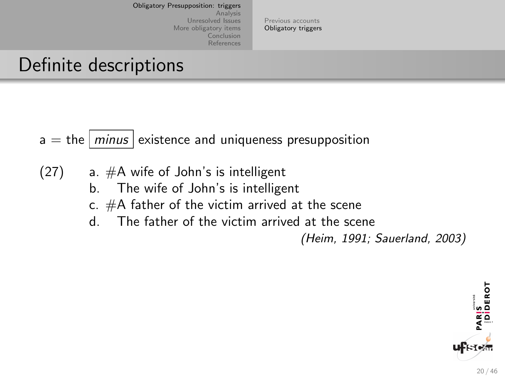[Previous accounts](#page-17-0) [Obligatory triggers](#page-30-0)

## Definite descriptions

 $a =$  the  $\vert$  minus existence and uniqueness presupposition

- $(27)$  a.  $#A$  wife of John's is intelligent
	- b. The wife of John's is intelligent
	- c. #A father of the victim arrived at the scene
	- d. The father of the victim arrived at the scene

(Heim, 1991; Sauerland, 2003)

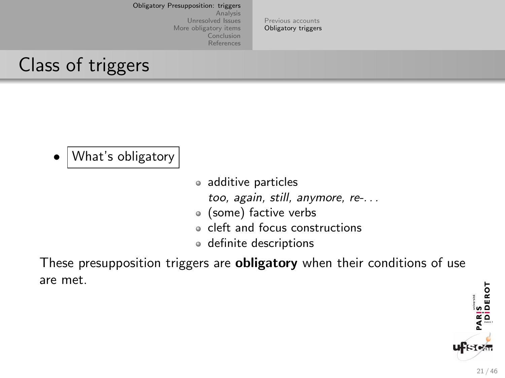[Previous accounts](#page-17-0) [Obligatory triggers](#page-30-0)

### Class of triggers

- What's obligatory
- additive particles too, again, still, anymore, re-. . .
- (some) factive verbs
- cleft and focus constructions
- definite descriptions

These presupposition triggers are **obligatory** when their conditions of use are met.

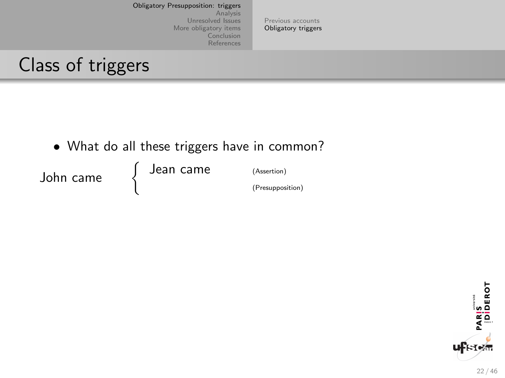[Previous accounts](#page-17-0) [Obligatory triggers](#page-30-0)

#### Class of triggers

• What do all these triggers have in common?

John came

 $\int$ Jean came (Assertion) (Presupposition)

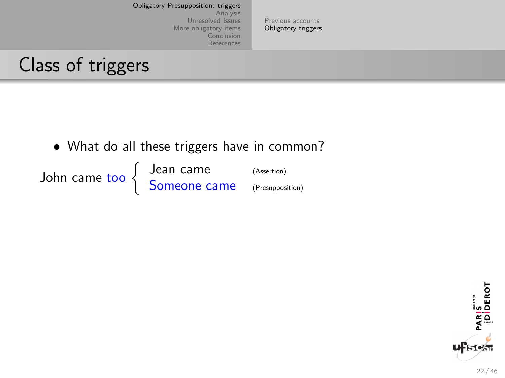[Previous accounts](#page-17-0) [Obligatory triggers](#page-30-0)

#### Class of triggers

• What do all these triggers have in common?

John came too \ Jean came (Assertion) Someone came (Presupposition)

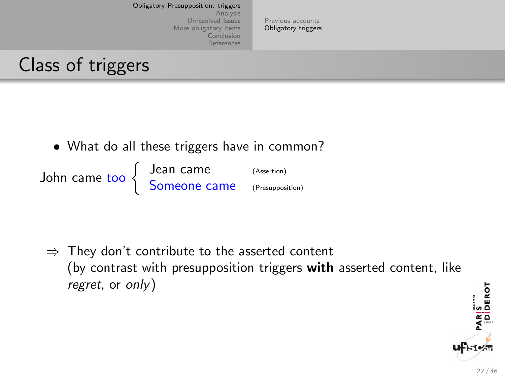[Previous accounts](#page-17-0) [Obligatory triggers](#page-30-0)

### Class of triggers

• What do all these triggers have in common?

John came too \ Jean came (Assertion) Someone came (Presupposition)

 $\Rightarrow$  They don't contribute to the asserted content (by contrast with presupposition triggers with asserted content, like regret, or only)

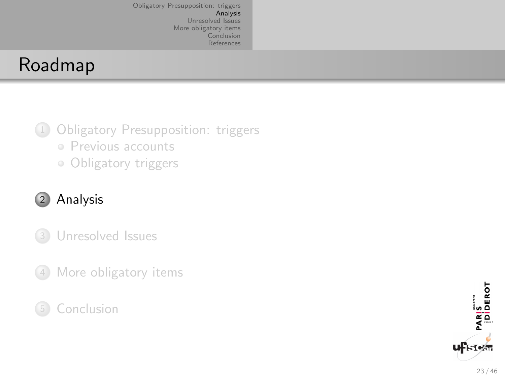# <span id="page-40-0"></span>Roadmap

- <sup>1</sup> [Obligatory Presupposition: triggers](#page-16-0) • [Previous accounts](#page-17-0)
	-
	- [Obligatory triggers](#page-30-0)

#### <sup>2</sup> [Analysis](#page-40-0)

- <sup>3</sup> [Unresolved Issues](#page-45-0)
- <sup>4</sup> [More obligatory items](#page-51-0)

#### **[Conclusion](#page-57-0)**

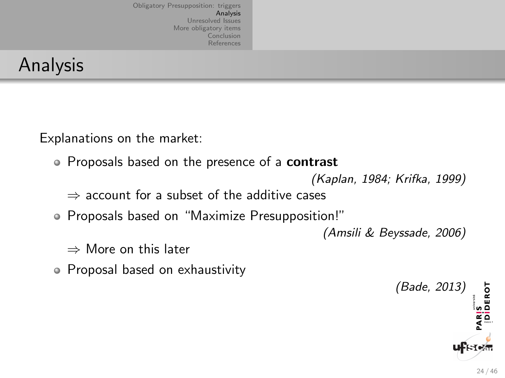## Analysis

Explanations on the market:

• Proposals based on the presence of a contrast

(Kaplan, 1984; Krifka, 1999)

 $\Rightarrow$  account for a subset of the additive cases

Proposals based on "Maximize Presupposition!"

(Amsili & Beyssade, 2006)

- ⇒ More on this later
- Proposal based on exhaustivity

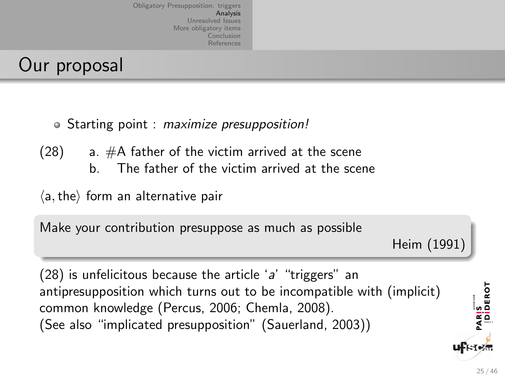## Our proposal

• Starting point : maximize presupposition!

 $(28)$  a.  $#A$  father of the victim arrived at the scene b. The father of the victim arrived at the scene

 $\langle a, the \rangle$  form an alternative pair

Make your contribution presuppose as much as possible

Heim (1991)

 $(28)$  is unfelicitous because the article 'a' "triggers" an antipresupposition which turns out to be incompatible with (implicit) common knowledge (Percus, 2006; Chemla, 2008). (See also "implicated presupposition" (Sauerland, 2003))

PARIS<br>|DİDEROT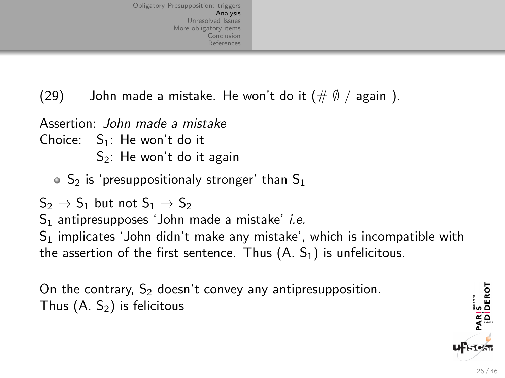(29) John made a mistake. He won't do it  $(\#\emptyset / \text{ again } )$ .

Assertion: John made a mistake Choice:  $S_1$ : He won't do it  $S_2$ : He won't do it again  $\circ$  S<sub>2</sub> is 'presuppositionaly stronger' than S<sub>1</sub>  $S_2 \rightarrow S_1$  but not  $S_1 \rightarrow S_2$  $S_1$  antipresupposes 'John made a mistake' i.e.  $S<sub>1</sub>$  implicates 'John didn't make any mistake', which is incompatible with the assertion of the first sentence. Thus  $(A, S_1)$  is unfelicitous.

On the contrary,  $S_2$  doesn't convey any antipresupposition. Thus  $(A, S_2)$  is felicitous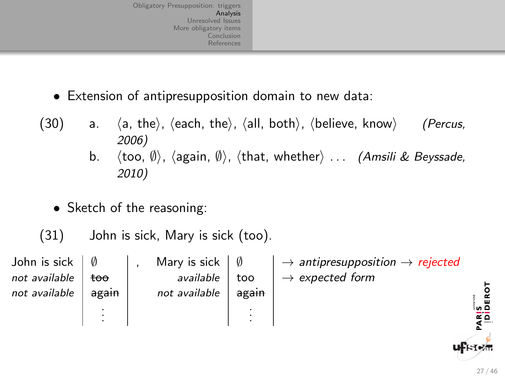- Extension of antipresupposition domain to new data:
- $(30)$  a.  $\langle a, \text{ the}\rangle$ ,  $\langle \text{each}, \text{ the}\rangle$ ,  $\langle \text{all}, \text{ both}\rangle$ ,  $\langle \text{believe}, \text{ know}\rangle$  (Percus, 2006)
	- b.  $\langle \text{too}, \emptyset \rangle$ ,  $\langle \text{again}, \emptyset \rangle$ ,  $\langle \text{that}, \text{whether} \rangle$  ... *(Amsili & Beyssade,* 2010)
	- Sketch of the reasoning:

(31) John is sick, Mary is sick (too).

| John is sick  |       | Mary is sick  |       | $\rightarrow$ antipresupposition $\rightarrow$ rejected |                   |  |
|---------------|-------|---------------|-------|---------------------------------------------------------|-------------------|--|
| not available | too   | available     | too   | $\rightarrow$ expected form                             |                   |  |
| not available | again | not available | again |                                                         |                   |  |
|               |       |               |       |                                                         | ់ ភកិ             |  |
|               |       |               |       |                                                         | $\simeq$ $\simeq$ |  |
|               |       |               |       |                                                         |                   |  |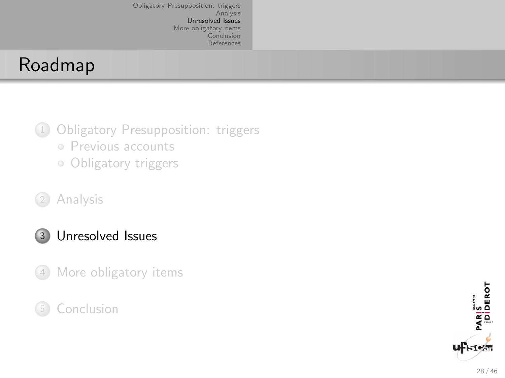## <span id="page-45-0"></span>Roadmap

- <sup>1</sup> [Obligatory Presupposition: triggers](#page-16-0)
	- [Previous accounts](#page-17-0)
	- [Obligatory triggers](#page-30-0)
- <sup>2</sup> [Analysis](#page-40-0)
- <sup>3</sup> [Unresolved Issues](#page-45-0)
- <sup>4</sup> [More obligatory items](#page-51-0)
- **[Conclusion](#page-57-0)**

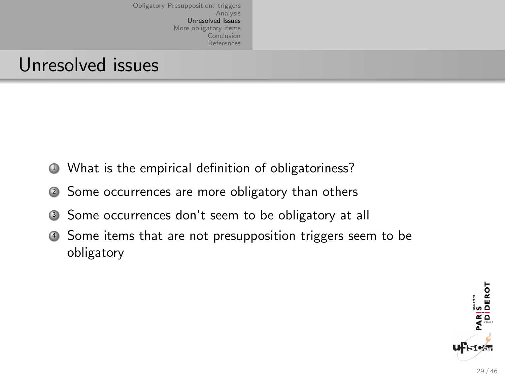#### Unresolved issues

- <span id="page-46-0"></span><sup>1</sup> What is the empirical definition of obligatoriness?
- <span id="page-46-1"></span><sup>2</sup> Some occurrences are more obligatory than others
- <span id="page-46-2"></span><sup>3</sup> Some occurrences don't seem to be obligatory at all
- <sup>4</sup> Some items that are not presupposition triggers seem to be obligatory

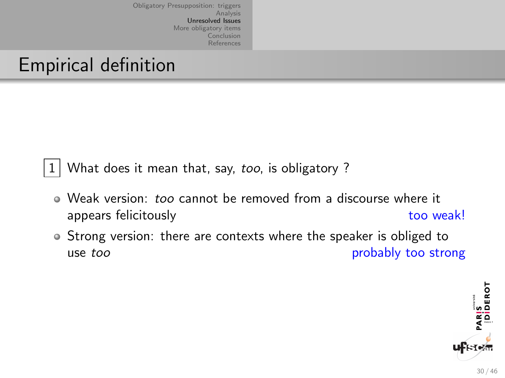## Empirical definition

 $|1|$  $|1|$  $|1|$  What does it mean that, say, *too*, is obligatory ?

- Weak version: too cannot be removed from a discourse where it appears felicitously and the state of the state of the state of the state of the state of the state of the state of the state of the state of the state of the state of the state of the state of the state of the state of th
- Strong version: there are contexts where the speaker is obliged to use too probably too strong

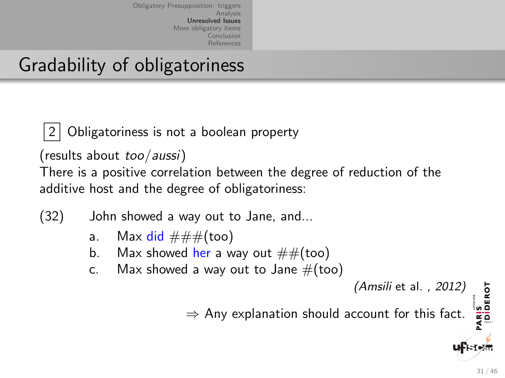## Gradability of obligatoriness

Obligatoriness is not a boolean property

(results about too/aussi)

There is a positive correlation between the degree of reduction of the additive host and the degree of obligatoriness:

(32) John showed a way out to Jane, and...

- a. Max did  $\# \# \#$ (too)
- b. Max showed her a way out  $\# \#(\text{too})$
- c. Max showed a way out to Jane  $#($ too)

 $\Rightarrow$  Any explanation should account for this fact.

PARIS<br>|Diderot

<sup>(</sup>Amsili et al. , 2012)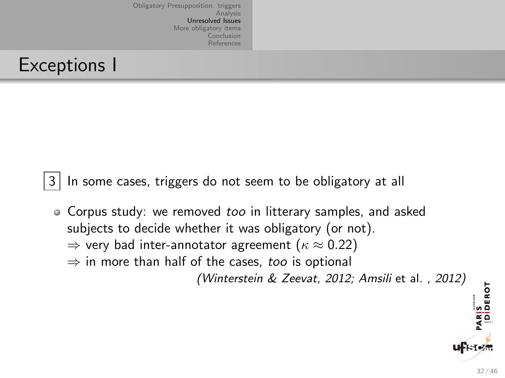## Exceptions I

[3](#page-46-2) In some cases, triggers do not seem to be obligatory at all

• Corpus study: we removed too in litterary samples, and asked subjects to decide whether it was obligatory (or not).  $\Rightarrow$  very bad inter-annotator agreement ( $\kappa \approx 0.22$ )  $\Rightarrow$  in more than half of the cases, too is optional (Winterstein & Zeevat, 2012; Amsili et al. , 2012)

PARIS<br>|DİDEROT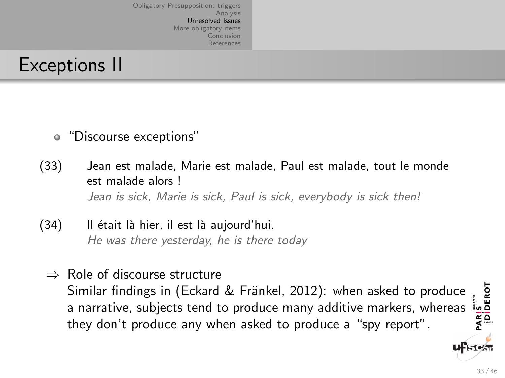## Exceptions II

- "Discourse exceptions"
- (33) Jean est malade, Marie est malade, Paul est malade, tout le monde est malade alors ! Jean is sick, Marie is sick, Paul is sick, everybody is sick then!
- (34) Il était là hier, il est là aujourd'hui. He was there yesterday, he is there today
	- ⇒ Role of discourse structure PARIS<br>|Diderot Similar findings in (Eckard & Fränkel, 2012): when asked to produce a narrative, subjects tend to produce many additive markers, whereas they don't produce any when asked to produce a "spy report".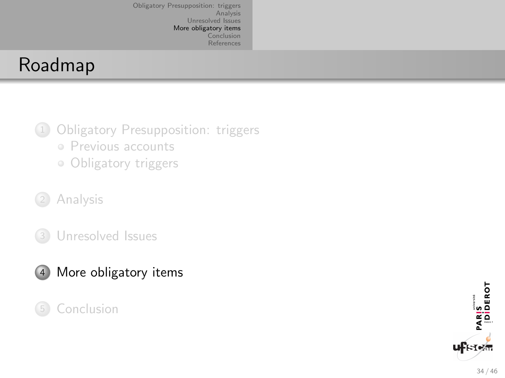## <span id="page-51-0"></span>Roadmap

- <sup>1</sup> [Obligatory Presupposition: triggers](#page-16-0) • [Previous accounts](#page-17-0)
	- [Obligatory triggers](#page-30-0)
- <sup>2</sup> [Analysis](#page-40-0)
- <sup>3</sup> [Unresolved Issues](#page-45-0)



**[Conclusion](#page-57-0)** 

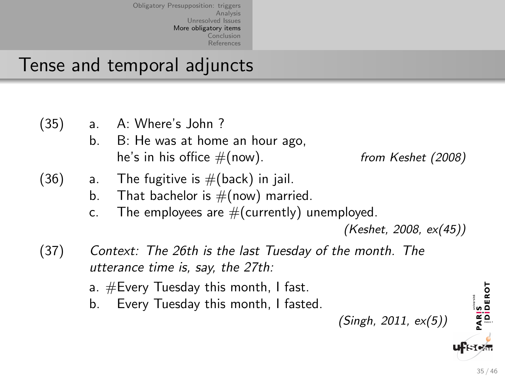## Tense and temporal adjuncts

| (35) | a.<br>b.       | A: Where's John?<br>B: He was at home an hour ago,<br>he's in his office $#(now)$ .                                                                                              | from Keshet (2008)                        |
|------|----------------|----------------------------------------------------------------------------------------------------------------------------------------------------------------------------------|-------------------------------------------|
| (36) | a.<br>b.<br>c. | The fugitive is $#($ back) in jail.<br>That bachelor is $\#(\text{now})$ married.<br>The employees are $#(currently)$ unemployed.                                                | (Keshet, 2008, ex(45))                    |
| (37) | b.             | Context: The 26th is the last Tuesday of the month. The<br>utterance time is, say, the 27th:<br>a. $\#$ Every Tuesday this month, I fast.<br>Every Tuesday this month, I fasted. | PARIS<br>[DIDEROT<br>(Singh, 2011, ex(5)) |

35 / 46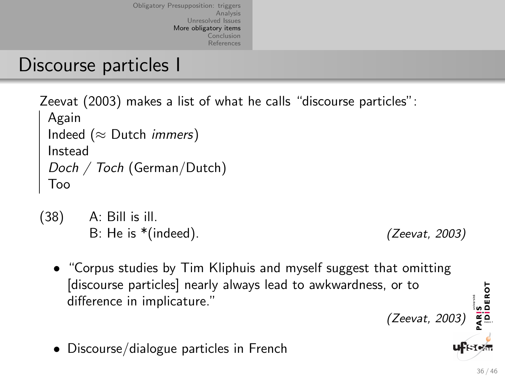### Discourse particles I

Zeevat (2003) makes a list of what he calls "discourse particles": Again Indeed ( $\approx$  Dutch *immers*) Instead Doch / Toch (German/Dutch) Too

- (38) A: Bill is ill. B: He is \*(indeed). (Zeevat, 2003)
	- "Corpus studies by Tim Kliphuis and myself suggest that omitting [discourse particles] nearly always lead to awkwardness, or to difference in implicature."
	- Discourse/dialogue particles in French

ARIS<br>|DIDEROT

(Zeevat, 2003)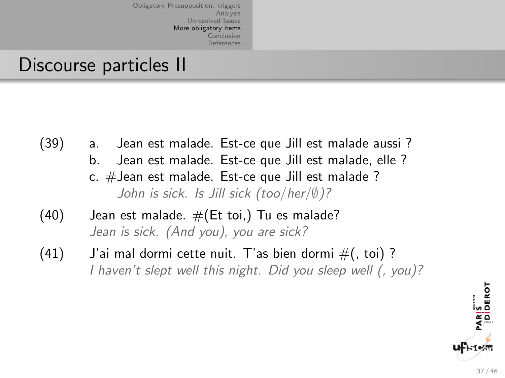#### Discourse particles II

(39) a. Jean est malade. Est-ce que Jill est malade aussi ? b. Jean est malade. Est-ce que Jill est malade, elle ? c. #Jean est malade. Est-ce que Jill est malade ?

John is sick. Is Jill sick (too/her/∅)?

- $(40)$  Jean est malade.  $\#(Et \text{ to } i)$  Tu es malade? Jean is sick. (And you), you are sick?
- $(41)$  J'ai mal dormi cette nuit. T'as bien dormi  $\#$ (, toi)? I haven't slept well this night. Did you sleep well (, you)?

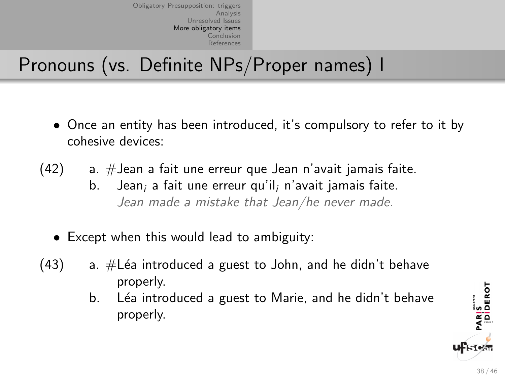# Pronouns (vs. Definite NPs/Proper names) I

- Once an entity has been introduced, it's compulsory to refer to it by cohesive devices:
- $(42)$  a. #Jean a fait une erreur que Jean n'avait jamais faite. b. Jean; a fait une erreur qu'il; n'avait jamais faite. Jean made a mistake that Jean/he never made.
	- Except when this would lead to ambiguity:
- $(43)$  a.  $\#$ Léa introduced a guest to John, and he didn't behave properly.
	- b. Léa introduced a guest to Marie, and he didn't behave properly.



PARIS<br>|DIDEROT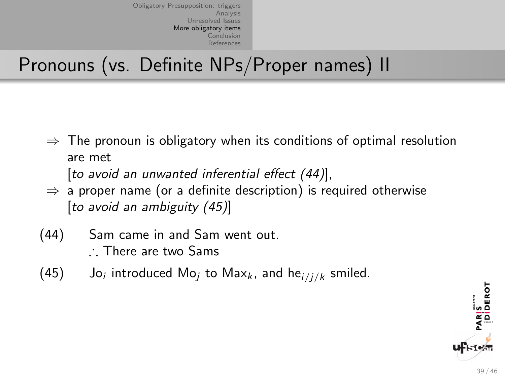# Pronouns (vs. Definite NPs/Proper names) II

 $\Rightarrow$  The pronoun is obligatory when its conditions of optimal resolution are met

[to avoid an unwanted inferential effect (44)],

- $\Rightarrow$  a proper name (or a definite description) is required otherwise [to avoid an ambiguity (45)]
- (44) Sam came in and Sam went out. ∴ There are two Sams
- $(45)$ Jo<sub>i</sub> introduced Mo<sub>i</sub> to Max<sub>k</sub>, and he $i/ijk$  smiled.

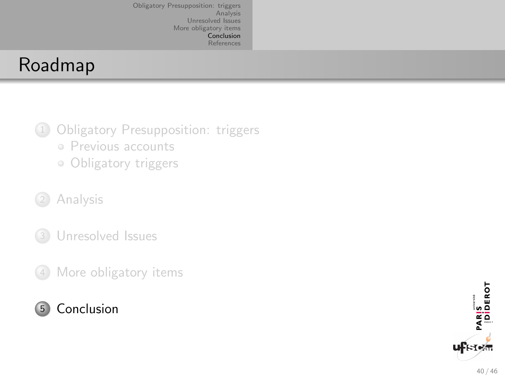## <span id="page-57-0"></span>Roadmap

- <sup>1</sup> [Obligatory Presupposition: triggers](#page-16-0) • [Previous accounts](#page-17-0)
	- [Obligatory triggers](#page-30-0)
- <sup>2</sup> [Analysis](#page-40-0)
- <sup>3</sup> [Unresolved Issues](#page-45-0)
- <sup>4</sup> [More obligatory items](#page-51-0)

#### <sup>5</sup> [Conclusion](#page-57-0)

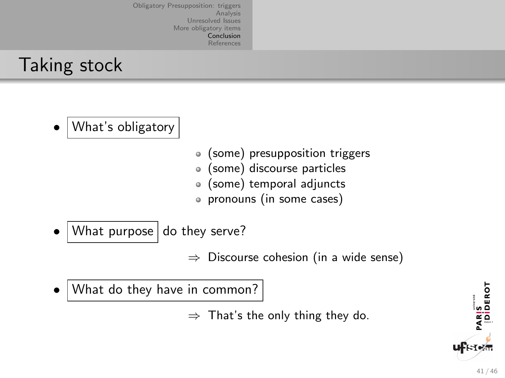## Taking stock

- What's obligatory
- (some) presupposition triggers
- (some) discourse particles  $\bullet$
- (some) temporal adjuncts
- pronouns (in some cases)
- What purpose do they serve?

 $\Rightarrow$  Discourse cohesion (in a wide sense)

• What do they have in common?

 $\Rightarrow$  That's the only thing they do.

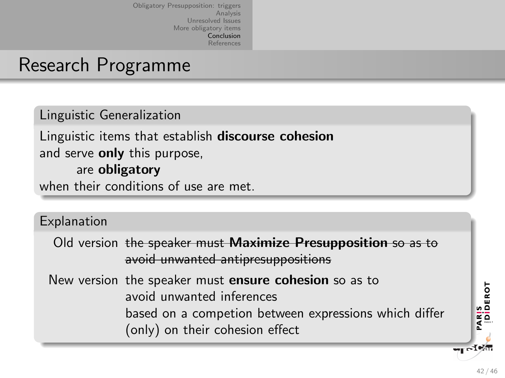#### Research Programme

Linguistic Generalization Linguistic items that establish discourse cohesion and serve **only** this purpose, are obligatory when their conditions of use are met.

#### Explanation

Old version the speaker must Maximize Presupposition so as to avoid unwanted antipresuppositions

New version the speaker must ensure cohesion so as to avoid unwanted inferences based on a competion between expressions which differ (only) on their cohesion effect

**TI of Man** 

PARIS<br>|DİDEROT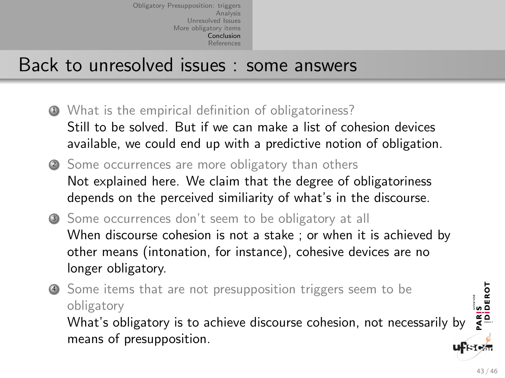#### Back to unresolved issues : some answers

- <sup>1</sup> What is the empirical definition of obligatoriness? Still to be solved. But if we can make a list of cohesion devices available, we could end up with a predictive notion of obligation.
- <sup>2</sup> Some occurrences are more obligatory than others Not explained here. We claim that the degree of obligatoriness depends on the perceived similiarity of what's in the discourse.
- <sup>3</sup> Some occurrences don't seem to be obligatory at all When discourse cohesion is not a stake ; or when it is achieved by other means (intonation, for instance), cohesive devices are no longer obligatory.

<sup>4</sup> Some items that are not presupposition triggers seem to be obligatory What's obligatory is to achieve discourse cohesion, not necessarily by means of presupposition.

PARIS<br>|DIDEROT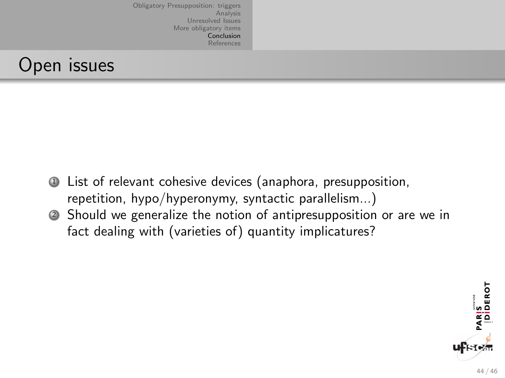#### Open issues

- <sup>1</sup> List of relevant cohesive devices (anaphora, presupposition, repetition, hypo/hyperonymy, syntactic parallelism...)
- <sup>2</sup> Should we generalize the notion of antipresupposition or are we in fact dealing with (varieties of) quantity implicatures?

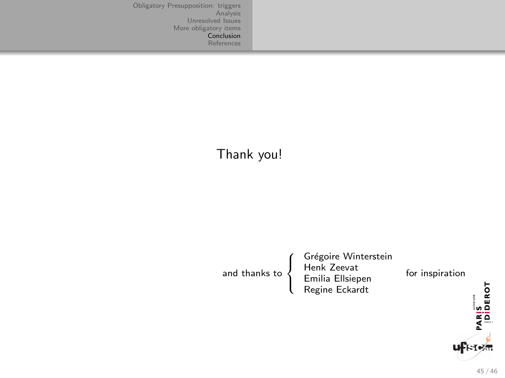#### Thank you!

and thanks to  $\int$  $\mathfrak{r}$ Grégoire Winterstein<br>Henk Zeevat<br>Emilia Ellsiepen<br>Regine Eckardt

for inspiration

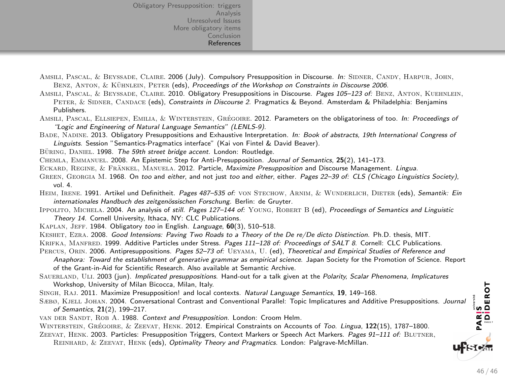- <span id="page-63-0"></span>AMSILI, PASCAL, & BEYSSADE, CLAIRE, 2006 (July). Compulsory Presupposition in Discourse. In: SIDNER, CANDY, HARPUR, JOHN, BENZ, ANTON, & KÜHNLEIN, PETER (eds), Proceedings of the Workshop on Constraints in Discourse 2006.
- AMSILI, PASCAL, & BEYSSADE, CLAIRE. 2010. Obligatory Presuppositions in Discourse. Pages 105-123 of: BENZ, ANTON, KUEHNLEIN, PETER, & SIDNER, CANDACE (eds), Constraints in Discourse 2. Pragmatics & Beyond. Amsterdam & Philadelphia: Benjamins Publishers.
- AMSILI, PASCAL, ELLSIEPEN, EMILIA, & WINTERSTEIN, GRÉGOIRE, 2012. Parameters on the obligatoriness of too. In: Proceedings of "Logic and Engineering of Natural Language Semantics" (LENLS-9).
- BADE, NADINE. 2013. Obligatory Presuppositions and Exhaustive Interpretation. In: Book of abstracts, 19th International Congress of Linguists. Session "Semantics-Pragmatics interface" (Kai von Fintel & David Beaver).
- BÜRING, DANIEL, 1998. The 59th street bridge accent. London: Routledge.
- Chemla, Emmanuel. 2008. An Epistemic Step for Anti-Presupposition. Journal of Semantics, 25(2), 141–173.
- ECKARD, REGINE, & FRÄNKEL, MANUELA, 2012. Particle, Maximize Presupposition and Discourse Management. Lingua.
- GREEN, GEORGIA M. 1968. On too and either, and not just too and either, either. Pages 22-39 of: CLS (Chicago Linguistics Society), vol. 4.
- HEIM, IRENE. 1991. Artikel und Definitheit. Pages 487-535 of: VON STECHOW, ARNIM, & WUNDERLICH, DIETER (eds), Semantik: Ein internationales Handbuch des zeitgenössischen Forschung. Berlin: de Gruyter.
- IPPOLITO, MICHELA. 2004. An analysis of still. Pages 127-144 of: YOUNG, ROBERT B (ed), Proceedings of Semantics and Linguistic Theory 14. Cornell University, Ithaca, NY: CLC Publications.
- KAPLAN, JEFF. 1984. Obligatory too in English. Language, 60(3), 510-518.
- KESHET, EZRA. 2008. Good Intensions: Paving Two Roads to a Theory of the De re/De dicto Distinction. Ph.D. thesis, MIT.
- KRIFKA, MANFRED. 1999. Additive Particles under Stress. Pages 111-128 of: Proceedings of SALT 8. Cornell: CLC Publications.
- PERCUS, ORIN. 2006. Antipresuppositions. Pages 52-73 of: UEYAMA, U. (ed), Theoretical and Empirical Studies of Reference and
	- Anaphora: Toward the establishment of generative grammar as empirical science. Japan Society for the Promotion of Science. Report of the Grant-in-Aid for Scientific Research. Also available at Semantic Archive.
- SAUERLAND, ULI. 2003 (jun). Implicated presuppositions. Hand-out for a talk given at the Polarity, Scalar Phenomena, Implicatures Workshop, University of Milan Bicocca, Milan, Italy.
- SINGH, RAJ. 2011. Maximize Presupposition! and local contexts. Natural Language Semantics, 19, 149-168.
- Sæbø, Kjell Johan. 2004. Conversational Contrast and Conventional Parallel: Topic Implicatures and Additive Presuppositions. Journal of Semantics, 21(2), 199–217.
- van der Sandt, Rob A. 1988. Context and Presupposition. London: Croom Helm.

WINTERSTEIN, GRÉGOIRE, & ZEEVAT, HENK, 2012. Empirical Constraints on Accounts of Too. Lingua, 122(15), 1787–1800.

- ZEEVAT, HENK. 2003. Particles: Presupposition Triggers, Context Markers or Speech Act Markers. Pages 91–111 of: BLUTNER.
	- Reinhard, & Zeevat, Henk (eds), Optimality Theory and Pragmatics. London: Palgrave-McMillan.

PARIS<br>- Ididerot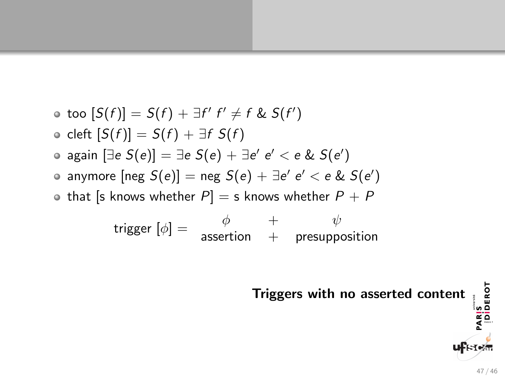\n- \n
$$
\text{ so } [S(f)] = S(f) + \exists f' \ f' \neq f \ \& S(f')
$$
\n
\n- \n
$$
\text{ cleft } [S(f)] = S(f) + \exists f \ S(f)
$$
\n
\n- \n
$$
\text{ a gain } [\exists e \ S(e)] = \exists e \ S(e) + \exists e' \ e' < e \ \& S(e')
$$
\n
\n- \n
$$
\text{ a mymore } [\text{neg } S(e)] = \text{neg } S(e) + \exists e' \ e' < e \ \& S(e')
$$
\n
\n- \n
$$
\text{ b that } [\text{s knows whether } P] = \text{s knows whether } P + P
$$
\n
\n- \n
$$
\text{ trigger } [\phi] = \begin{array}{ccc}\n & \phi & + & \psi \\
& \text{assertion} & + & \text{presupposition}\n \end{array}
$$
\n
\n

Triggers with no asserted content  $\frac{1}{\frac{\omega_0}{\omega_0}}$ <br> $\frac{\omega_0}{\omega_0}$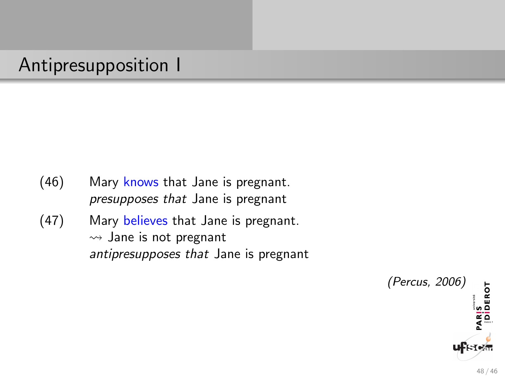## Antipresupposition I

- (46) Mary knows that Jane is pregnant. presupposes that Jane is pregnant
- (47) Mary believes that Jane is pregnant.  $\rightsquigarrow$  Jane is not pregnant antipresupposes that Jane is pregnant

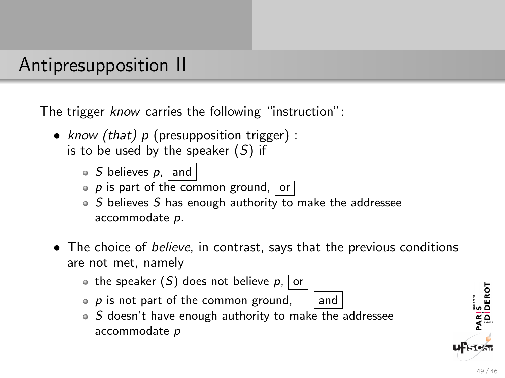### Antipresupposition II

The trigger know carries the following "instruction":

- know (that)  $p$  (presupposition trigger) : is to be used by the speaker  $(S)$  if
	- $\bullet$  S believes p, and
	- $\bullet$  p is part of the common ground, or
	- $\circ$  S believes S has enough authority to make the addressee accommodate p.
- The choice of *believe*, in contrast, says that the previous conditions are not met, namely
	- the speaker  $(S)$  does not believe p, or
	- $p$  is not part of the common ground, and
	- $\circ$  S doesn't have enough authority to make the addressee accommodate p

PARIS<br>|DİDEROT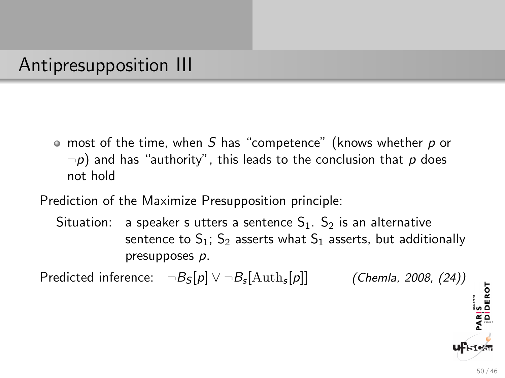## Antipresupposition III

 $\bullet$  most of the time, when S has "competence" (knows whether p or  $\neg p$ ) and has "authority", this leads to the conclusion that p does not hold

Prediction of the Maximize Presupposition principle:

Situation: a speaker s utters a sentence  $S_1$ .  $S_2$  is an alternative sentence to  $S_1$ ;  $S_2$  asserts what  $S_1$  asserts, but additionally presupposes p.

Predicted inference:  $\neg B_{\mathcal{S}}[p] \vee \neg B_{\mathcal{S}}[\mathrm{Auth}_{\mathcal{S}}]$ (Chemla, 2008, (24))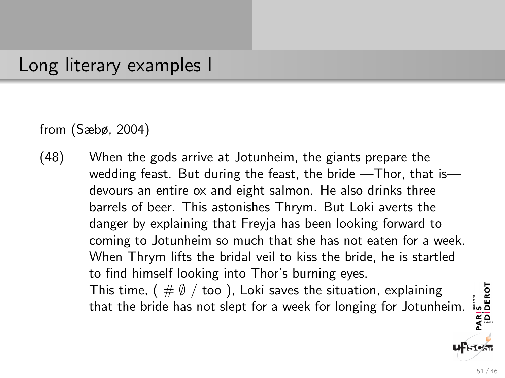#### Long literary examples I

from (Sæbø, 2004)

(48) When the gods arrive at Jotunheim, the giants prepare the wedding feast. But during the feast, the bride —Thor, that is devours an entire ox and eight salmon. He also drinks three barrels of beer. This astonishes Thrym. But Loki averts the danger by explaining that Freyja has been looking forward to coming to Jotunheim so much that she has not eaten for a week. When Thrym lifts the bridal veil to kiss the bride, he is startled to find himself looking into Thor's burning eyes. This time, (  $\#\emptyset$  / too ), Loki saves the situation, explaining that the bride has not slept for a week for longing for Jotunheim.

PARIS<br>|Diderot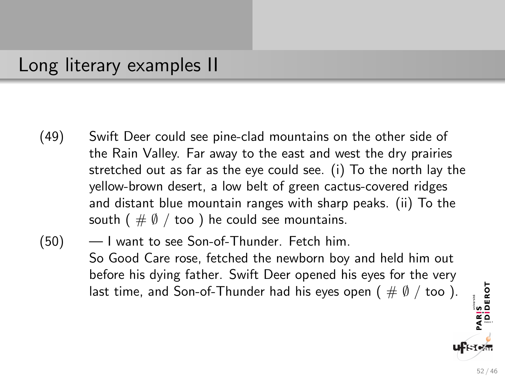#### Long literary examples II

- (49) Swift Deer could see pine-clad mountains on the other side of the Rain Valley. Far away to the east and west the dry prairies stretched out as far as the eye could see. (i) To the north lay the yellow-brown desert, a low belt of green cactus-covered ridges and distant blue mountain ranges with sharp peaks. (ii) To the south ( $\#\emptyset$  / too) he could see mountains.
- (50) I want to see Son-of-Thunder. Fetch him. So Good Care rose, fetched the newborn boy and held him out before his dying father. Swift Deer opened his eyes for the very last time, and Son-of-Thunder had his eyes open (  $\#\emptyset$  / too ).

PARIS<br>|Diderot